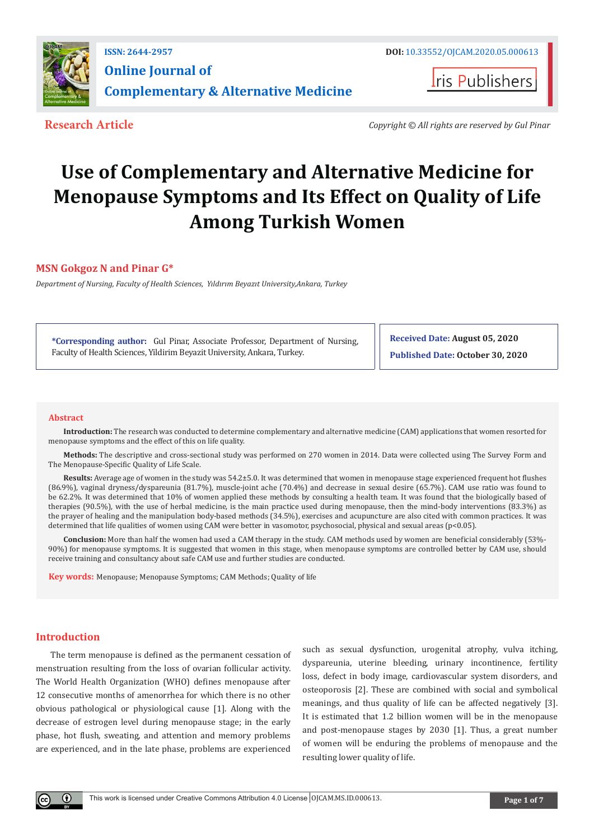

**Iris Publishers** 

**Research Article** *Copyright © All rights are reserved by Gul Pinar* 

# **Use of Complementary and Alternative Medicine for Menopause Symptoms and Its Effect on Quality of Life Among Turkish Women**

# **MSN Gokgoz N and Pinar G\***

*Department of Nursing, Faculty of Health Sciences, Yıldırım Beyazıt University,Ankara, Turkey*

**\*Corresponding author:** Gul Pinar, Associate Professor, Department of Nursing, Faculty of Health Sciences, Yildirim Beyazit University, Ankara, Turkey.

**Received Date: August 05, 2020 Published Date: October 30, 2020**

#### **Abstract**

**Introduction:** The research was conducted to determine complementary and alternative medicine (CAM) applications that women resorted for menopause symptoms and the effect of this on life quality.

**Methods:** The descriptive and cross-sectional study was performed on 270 women in 2014. Data were collected using The Survey Form and The Menopause-Specific Quality of Life Scale.

**Results:** Average age of women in the study was 54.2±5.0. It was determined that women in menopause stage experienced frequent hot flushes (86.9%), vaginal dryness/dyspareunia (81.7%), muscle-joint ache (70.4%) and decrease in sexual desire (65.7%). CAM use ratio was found to be 62.2%. It was determined that 10% of women applied these methods by consulting a health team. It was found that the biologically based of therapies (90.5%), with the use of herbal medicine, is the main practice used during menopause, then the mind-body interventions (83.3%) as the prayer of healing and the manipulation body-based methods (34.5%), exercises and acupuncture are also cited with common practices. It was determined that life qualities of women using CAM were better in vasomotor, psychosocial, physical and sexual areas (p<0.05).

**Conclusion:** More than half the women had used a CAM therapy in the study. CAM methods used by women are beneficial considerably (53%- 90%) for menopause symptoms. It is suggested that women in this stage, when menopause symptoms are controlled better by CAM use, should receive training and consultancy about safe CAM use and further studies are conducted.

**Key words:** Menopause; Menopause Symptoms; CAM Methods; Quality of life

## **Introduction**

The term menopause is defined as the permanent cessation of menstruation resulting from the loss of ovarian follicular activity. The World Health Organization (WHO) defines menopause after 12 consecutive months of amenorrhea for which there is no other obvious pathological or physiological cause [1]. Along with the decrease of estrogen level during menopause stage; in the early phase, hot flush, sweating, and attention and memory problems are experienced, and in the late phase, problems are experienced

such as sexual dysfunction, urogenital atrophy, vulva itching, dyspareunia, uterine bleeding, urinary incontinence, fertility loss, defect in body image, cardiovascular system disorders, and osteoporosis [2]. These are combined with social and symbolical meanings, and thus quality of life can be affected negatively [3]. It is estimated that 1.2 billion women will be in the menopause and post-menopause stages by 2030 [1]. Thus, a great number of women will be enduring the problems of menopause and the resulting lower quality of life.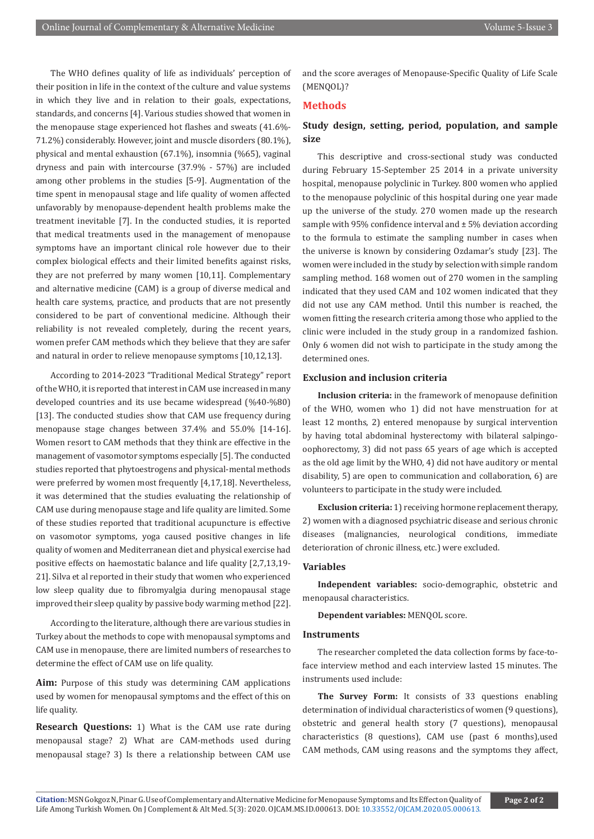The WHO defines quality of life as individuals' perception of their position in life in the context of the culture and value systems in which they live and in relation to their goals, expectations, standards, and concerns [4]. Various studies showed that women in the menopause stage experienced hot flashes and sweats (41.6%- 71.2%) considerably. However, joint and muscle disorders (80.1%), physical and mental exhaustion (67.1%), insomnia (%65), vaginal dryness and pain with intercourse (37.9% - 57%) are included among other problems in the studies [5-9]. Augmentation of the time spent in menopausal stage and life quality of women affected unfavorably by menopause-dependent health problems make the treatment inevitable [7]. In the conducted studies, it is reported that medical treatments used in the management of menopause symptoms have an important clinical role however due to their complex biological effects and their limited benefits against risks, they are not preferred by many women [10,11]. Complementary and alternative medicine (CAM) is a group of diverse medical and health care systems, practice, and products that are not presently considered to be part of conventional medicine. Although their reliability is not revealed completely, during the recent years, women prefer CAM methods which they believe that they are safer and natural in order to relieve menopause symptoms [10,12,13].

According to 2014-2023 "Traditional Medical Strategy" report of the WHO, it is reported that interest in CAM use increased in many developed countries and its use became widespread (%40-%80) [13]. The conducted studies show that CAM use frequency during menopause stage changes between 37.4% and 55.0% [14-16]. Women resort to CAM methods that they think are effective in the management of vasomotor symptoms especially [5]. The conducted studies reported that phytoestrogens and physical-mental methods were preferred by women most frequently [4,17,18]. Nevertheless, it was determined that the studies evaluating the relationship of CAM use during menopause stage and life quality are limited. Some of these studies reported that traditional acupuncture is effective on vasomotor symptoms, yoga caused positive changes in life quality of women and Mediterranean diet and physical exercise had positive effects on haemostatic balance and life quality [2,7,13,19- 21]. Silva et al reported in their study that women who experienced low sleep quality due to fibromyalgia during menopausal stage improved their sleep quality by passive body warming method [22].

According to the literature, although there are various studies in Turkey about the methods to cope with menopausal symptoms and CAM use in menopause, there are limited numbers of researches to determine the effect of CAM use on life quality.

**Aim:** Purpose of this study was determining CAM applications used by women for menopausal symptoms and the effect of this on life quality.

**Research Questions:** 1) What is the CAM use rate during menopausal stage? 2) What are CAM-methods used during menopausal stage? 3) Is there a relationship between CAM use

and the score averages of Menopause-Specific Quality of Life Scale (MENQOL)?

## **Methods**

## **Study design, setting, period, population, and sample size**

This descriptive and cross-sectional study was conducted during February 15-September 25 2014 in a private university hospital, menopause polyclinic in Turkey. 800 women who applied to the menopause polyclinic of this hospital during one year made up the universe of the study. 270 women made up the research sample with 95% confidence interval and  $\pm$  5% deviation according to the formula to estimate the sampling number in cases when the universe is known by considering Ozdamar's study [23]. The women were included in the study by selection with simple random sampling method. 168 women out of 270 women in the sampling indicated that they used CAM and 102 women indicated that they did not use any CAM method. Until this number is reached, the women fitting the research criteria among those who applied to the clinic were included in the study group in a randomized fashion. Only 6 women did not wish to participate in the study among the determined ones.

## **Exclusion and inclusion criteria**

**Inclusion criteria:** in the framework of menopause definition of the WHO, women who 1) did not have menstruation for at least 12 months, 2) entered menopause by surgical intervention by having total abdominal hysterectomy with bilateral salpingooophorectomy, 3) did not pass 65 years of age which is accepted as the old age limit by the WHO, 4) did not have auditory or mental disability, 5) are open to communication and collaboration, 6) are volunteers to participate in the study were included.

**Exclusion criteria:** 1) receiving hormone replacement therapy, 2) women with a diagnosed psychiatric disease and serious chronic diseases (malignancies, neurological conditions, immediate deterioration of chronic illness, etc.) were excluded.

#### **Variables**

**Independent variables:** socio-demographic, obstetric and menopausal characteristics.

**Dependent variables:** MENQOL score.

#### **Instruments**

The researcher completed the data collection forms by face-toface interview method and each interview lasted 15 minutes. The instruments used include:

**The Survey Form:** It consists of 33 questions enabling determination of individual characteristics of women (9 questions), obstetric and general health story (7 questions), menopausal characteristics (8 questions), CAM use (past 6 months),used CAM methods, CAM using reasons and the symptoms they affect,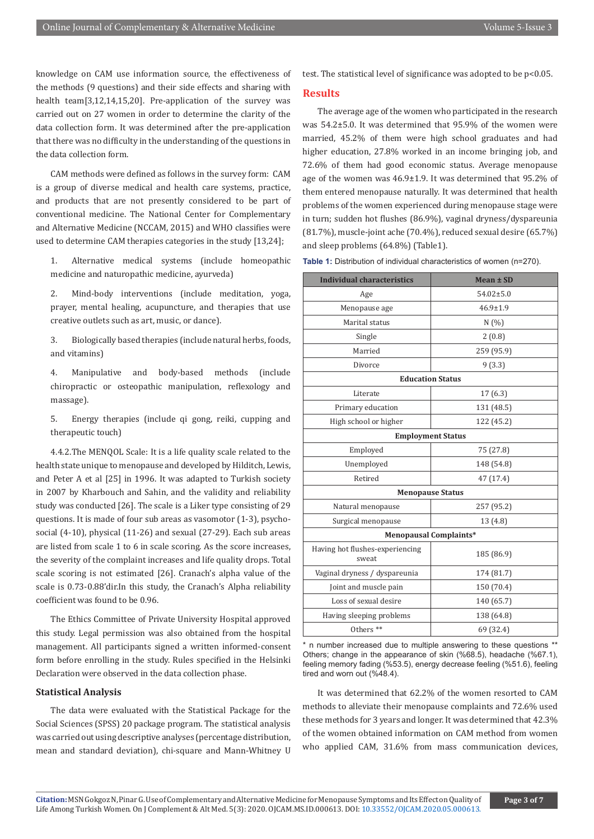knowledge on CAM use information source, the effectiveness of the methods (9 questions) and their side effects and sharing with health team[3,12,14,15,20]. Pre-application of the survey was carried out on 27 women in order to determine the clarity of the data collection form. It was determined after the pre-application that there was no difficulty in the understanding of the questions in the data collection form.

CAM methods were defined as follows in the survey form: CAM is a group of diverse medical and health care systems, practice, and products that are not presently considered to be part of conventional medicine. The National Center for Complementary and Alternative Medicine (NCCAM, 2015) and WHO classifies were used to determine CAM therapies categories in the study [13,24];

1. Alternative medical systems (include homeopathic medicine and naturopathic medicine, ayurveda)

2. Mind-body interventions (include meditation, yoga, prayer, mental healing, acupuncture, and therapies that use creative outlets such as art, music, or dance).

3. Biologically based therapies (include natural herbs, foods, and vitamins)

4. Manipulative and body-based methods (include chiropractic or osteopathic manipulation, reflexology and massage).

5. Energy therapies (include qi gong, reiki, cupping and therapeutic touch)

4.4.2.The MENQOL Scale: It is a life quality scale related to the health state unique to menopause and developed by Hilditch, Lewis, and Peter A et al [25] in 1996. It was adapted to Turkish society in 2007 by Kharbouch and Sahin, and the validity and reliability study was conducted [26]. The scale is a Liker type consisting of 29 questions. It is made of four sub areas as vasomotor (1-3), psychosocial (4-10), physical (11-26) and sexual (27-29). Each sub areas are listed from scale 1 to 6 in scale scoring. As the score increases, the severity of the complaint increases and life quality drops. Total scale scoring is not estimated [26]. Cranach's alpha value of the scale is 0.73-0.88'dir.In this study, the Cranach's Alpha reliability coefficient was found to be 0.96.

The Ethics Committee of Private University Hospital approved this study. Legal permission was also obtained from the hospital management. All participants signed a written informed-consent form before enrolling in the study. Rules specified in the Helsinki Declaration were observed in the data collection phase.

### **Statistical Analysis**

The data were evaluated with the Statistical Package for the Social Sciences (SPSS) 20 package program. The statistical analysis was carried out using descriptive analyses (percentage distribution, mean and standard deviation), chi-square and Mann-Whitney U test. The statistical level of significance was adopted to be p<0.05.

### **Results**

The average age of the women who participated in the research was 54.2±5.0. It was determined that 95.9% of the women were married, 45.2% of them were high school graduates and had higher education, 27.8% worked in an income bringing job, and 72.6% of them had good economic status. Average menopause age of the women was 46.9±1.9. It was determined that 95.2% of them entered menopause naturally. It was determined that health problems of the women experienced during menopause stage were in turn; sudden hot flushes (86.9%), vaginal dryness/dyspareunia (81.7%), muscle-joint ache (70.4%), reduced sexual desire (65.7%) and sleep problems (64.8%) (Table1).

**Table 1:** Distribution of individual characteristics of women (n=270).

| <b>Individual characteristics</b>        | <b>Mean ± SD</b> |  |  |
|------------------------------------------|------------------|--|--|
| Age                                      | $54.02 \pm 5.0$  |  |  |
| Menopause age                            | $46.9 \pm 1.9$   |  |  |
| Marital status                           | N(%)             |  |  |
| Single                                   | 2(0.8)           |  |  |
| Married                                  | 259 (95.9)       |  |  |
| Divorce                                  | 9(3.3)           |  |  |
| <b>Education Status</b>                  |                  |  |  |
| Literate                                 | 17(6.3)          |  |  |
| Primary education                        | 131 (48.5)       |  |  |
| High school or higher                    | 122 (45.2)       |  |  |
| <b>Employment Status</b>                 |                  |  |  |
| Employed                                 | 75 (27.8)        |  |  |
| Unemployed                               | 148 (54.8)       |  |  |
| Retired                                  | 47 (17.4)        |  |  |
| <b>Menopause Status</b>                  |                  |  |  |
| Natural menopause                        | 257 (95.2)       |  |  |
| Surgical menopause                       | 13 (4.8)         |  |  |
| <b>Menopausal Complaints*</b>            |                  |  |  |
| Having hot flushes-experiencing<br>sweat | 185 (86.9)       |  |  |
| Vaginal dryness / dyspareunia            | 174 (81.7)       |  |  |
| Joint and muscle pain                    | 150 (70.4)       |  |  |
| Loss of sexual desire                    | 140 (65.7)       |  |  |
| Having sleeping problems                 | 138 (64.8)       |  |  |
| Others <sup>**</sup>                     | 69 (32.4)        |  |  |

\* n number increased due to multiple answering to these questions \*\* Others; change in the appearance of skin (%68.5), headache (%67.1), feeling memory fading (%53.5), energy decrease feeling (%51.6), feeling tired and worn out (%48.4).

It was determined that 62.2% of the women resorted to CAM methods to alleviate their menopause complaints and 72.6% used these methods for 3 years and longer. It was determined that 42.3% of the women obtained information on CAM method from women who applied CAM, 31.6% from mass communication devices,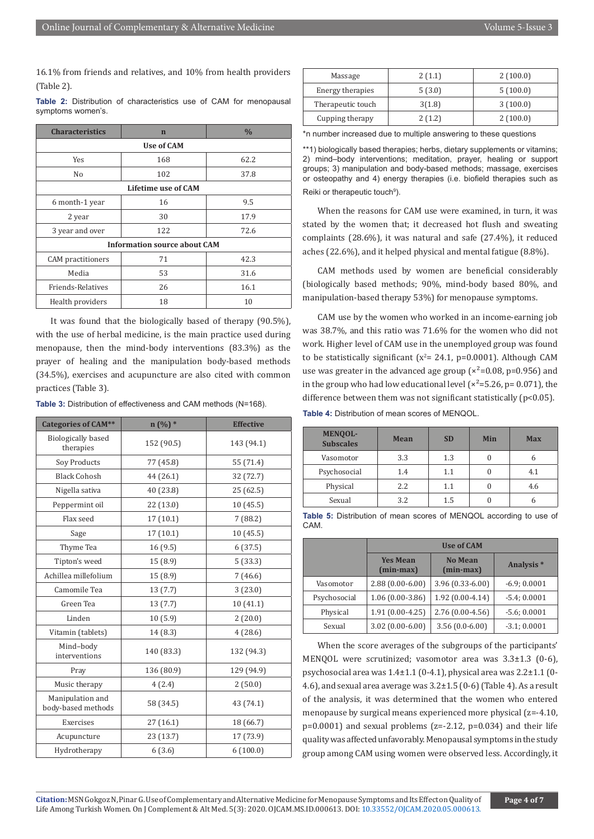16.1% from friends and relatives, and 10% from health providers (Table 2).

**Table 2:** Distribution of characteristics use of CAM for menopausal symptoms women's.

| <b>Characteristics</b>              | $\mathbf n$ | $\frac{0}{0}$ |  |
|-------------------------------------|-------------|---------------|--|
| Use of CAM                          |             |               |  |
| Yes                                 | 168         | 62.2          |  |
| No                                  | 102         | 37.8          |  |
| Lifetime use of CAM                 |             |               |  |
| 6 month-1 year                      | 16          | 9.5           |  |
| 2 year                              | 30          | 17.9          |  |
| 3 year and over                     | 122         | 72.6          |  |
| <b>Information source about CAM</b> |             |               |  |
| <b>CAM</b> practitioners            | 71          | 42.3          |  |
| Media                               | 53          | 31.6          |  |
| Friends-Relatives                   | 26          | 16.1          |  |
| Health providers                    | 18          | 10            |  |

It was found that the biologically based of therapy (90.5%), with the use of herbal medicine, is the main practice used during menopause, then the mind-body interventions (83.3%) as the prayer of healing and the manipulation body-based methods (34.5%), exercises and acupuncture are also cited with common practices (Table 3).

**Table 3:** Distribution of effectiveness and CAM methods (N=168).

| <b>Categories of CAM**</b>             | $n(%)$ *   | <b>Effective</b> |
|----------------------------------------|------------|------------------|
| <b>Biologically based</b><br>therapies | 152 (90.5) | 143 (94.1)       |
| Soy Products                           | 77 (45.8)  | 55 (71.4)        |
| <b>Black Cohosh</b>                    | 44 (26.1)  | 32 (72.7)        |
| Nigella sativa                         | 40 (23.8)  | 25 (62.5)        |
| Peppermint oil                         | 22(13.0)   | 10(45.5)         |
| Flax seed                              | 17 (10.1)  | 7(88.2)          |
| Sage                                   | 17 (10.1)  | 10(45.5)         |
| Thyme Tea                              | 16(9.5)    | 6(37.5)          |
| Tipton's weed                          | 15 (8.9)   | 5(33.3)          |
| Achillea millefolium                   | 15 (8.9)   | 7(46.6)          |
| Camomile Tea                           | 13(7.7)    | 3(23.0)          |
| Green Tea                              | 13 (7.7)   | 10 (41.1)        |
| Linden                                 | 10(5.9)    | 2(20.0)          |
| Vitamin (tablets)                      | 14(8.3)    | 4(28.6)          |
| Mind-body<br>interventions             | 140 (83.3) | 132 (94.3)       |
| Pray                                   | 136 (80.9) | 129 (94.9)       |
| Music therapy                          | 4(2.4)     | 2(50.0)          |
| Manipulation and<br>body-based methods | 58 (34.5)  | 43 (74.1)        |
| Exercises                              | 27(16.1)   | 18 (66.7)        |
| Acupuncture                            | 23 (13.7)  | 17 (73.9)        |
| Hydrotherapy                           | 6(3.6)     | 6(100.0)         |

| Massage           | 2(1.1) | 2(100.0) |
|-------------------|--------|----------|
| Energy therapies  | 5(3.0) | 5(100.0) |
| Therapeutic touch | 3(1.8) | 3(100.0) |
| Cupping therapy   | 2(1.2) | 2(100.0) |

\*n number increased due to multiple answering to these questions

\*\*1) biologically based therapies; herbs, dietary supplements or vitamins; 2) mind–body interventions; meditation, prayer, healing or support groups; 3) manipulation and body-based methods; massage, exercises or osteopathy and 4) energy therapies (i.e. biofield therapies such as Reiki or therapeutic touch<sup>9</sup>).

When the reasons for CAM use were examined, in turn, it was stated by the women that; it decreased hot flush and sweating complaints (28.6%), it was natural and safe (27.4%), it reduced aches (22.6%), and it helped physical and mental fatigue (8.8%).

CAM methods used by women are beneficial considerably (biologically based methods; 90%, mind-body based 80%, and manipulation-based therapy 53%) for menopause symptoms.

CAM use by the women who worked in an income-earning job was 38.7%, and this ratio was 71.6% for the women who did not work. Higher level of CAM use in the unemployed group was found to be statistically significant ( $x^2$ = 24.1, p=0.0001). Although CAM use was greater in the advanced age group ( $\times^2$ =0.08, p=0.956) and in the group who had low educational level ( $\times^2$ =5.26, p= 0.071), the difference between them was not significant statistically (p<0.05).

**Table 4:** Distribution of mean scores of MENQOL.

| <b>MENQOL-</b><br><b>Subscales</b> | Mean | <b>SD</b> | <b>Min</b> | <b>Max</b> |
|------------------------------------|------|-----------|------------|------------|
| Vasomotor                          | 3.3  | 1.3       |            |            |
| Psychosocial                       | 1.4  | 1.1       |            | 4.1        |
| Physical                           | 2.2  | 1.1       |            | 4.6        |
| Sexual                             | 3.2  | 1.5       |            |            |

**Table 5:** Distribution of mean scores of MENQOL according to use of CAM.

|              | <b>Use of CAM</b>            |                             |                       |
|--------------|------------------------------|-----------------------------|-----------------------|
|              | <b>Yes Mean</b><br>(min-max) | <b>No Mean</b><br>(min-max) | Analysis <sup>*</sup> |
| Vasomotor    | $2.88(0.00 - 6.00)$          | 3.96 (0.33-6.00)            | $-6.9; 0.0001$        |
| Psychosocial | $1.06(0.00-3.86)$            | $1.92(0.00-4.14)$           | $-5.4; 0.0001$        |
| Physical     | $1.91(0.00-4.25)$            | 2.76 (0.00-4.56)            | $-5.6; 0.0001$        |
| Sexual       | $3.02(0.00 - 6.00)$          | $3.56(0.0 - 6.00)$          | $-3.1; 0.0001$        |

When the score averages of the subgroups of the participants' MENQOL were scrutinized; vasomotor area was 3.3±1.3 (0-6), psychosocial area was 1.4±1.1 (0-4.1), physical area was 2.2±1.1 (0- 4.6), and sexual area average was 3.2±1.5 (0-6) (Table 4). As a result of the analysis, it was determined that the women who entered menopause by surgical means experienced more physical (z=-4.10,  $p=0.0001$  and sexual problems ( $z=-2.12$ ,  $p=0.034$ ) and their life quality was affected unfavorably. Menopausal symptoms in the study group among CAM using women were observed less. Accordingly, it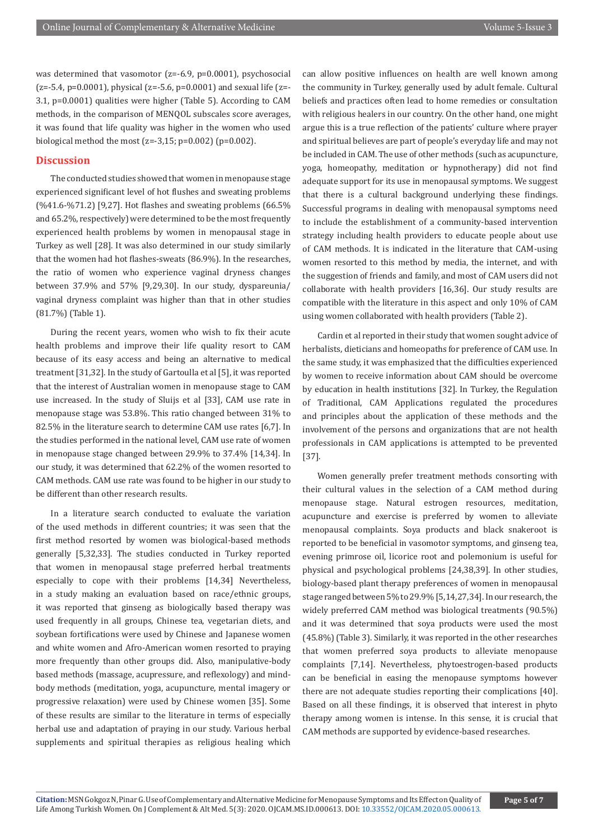was determined that vasomotor (z=-6.9, p=0.0001), psychosocial  $(z=-5.4, p=0.0001)$ , physical (z= $-5.6, p=0.0001$ ) and sexual life (z= $-5.6, p=0.0001$ ) 3.1, p=0.0001) qualities were higher (Table 5). According to CAM methods, in the comparison of MENQOL subscales score averages, it was found that life quality was higher in the women who used biological method the most (z=-3,15; p=0.002) (p=0.002).

#### **Discussion**

The conducted studies showed that women in menopause stage experienced significant level of hot flushes and sweating problems (%41.6-%71.2) [9,27]. Hot flashes and sweating problems (66.5% and 65.2%, respectively) were determined to be the most frequently experienced health problems by women in menopausal stage in Turkey as well [28]. It was also determined in our study similarly that the women had hot flashes-sweats (86.9%). In the researches, the ratio of women who experience vaginal dryness changes between 37.9% and 57% [9,29,30]. In our study, dyspareunia/ vaginal dryness complaint was higher than that in other studies (81.7%) (Table 1).

During the recent years, women who wish to fix their acute health problems and improve their life quality resort to CAM because of its easy access and being an alternative to medical treatment [31,32]. In the study of Gartoulla et al [5], it was reported that the interest of Australian women in menopause stage to CAM use increased. In the study of Sluijs et al [33], CAM use rate in menopause stage was 53.8%. This ratio changed between 31% to 82.5% in the literature search to determine CAM use rates [6,7]. In the studies performed in the national level, CAM use rate of women in menopause stage changed between 29.9% to 37.4% [14,34]. In our study, it was determined that 62.2% of the women resorted to CAM methods. CAM use rate was found to be higher in our study to be different than other research results.

In a literature search conducted to evaluate the variation of the used methods in different countries; it was seen that the first method resorted by women was biological-based methods generally [5,32,33]. The studies conducted in Turkey reported that women in menopausal stage preferred herbal treatments especially to cope with their problems [14,34] Nevertheless, in a study making an evaluation based on race/ethnic groups, it was reported that ginseng as biologically based therapy was used frequently in all groups, Chinese tea, vegetarian diets, and soybean fortifications were used by Chinese and Japanese women and white women and Afro-American women resorted to praying more frequently than other groups did. Also, manipulative-body based methods (massage, acupressure, and reflexology) and mindbody methods (meditation, yoga, acupuncture, mental imagery or progressive relaxation) were used by Chinese women [35]. Some of these results are similar to the literature in terms of especially herbal use and adaptation of praying in our study. Various herbal supplements and spiritual therapies as religious healing which

can allow positive influences on health are well known among the community in Turkey, generally used by adult female. Cultural beliefs and practices often lead to home remedies or consultation with religious healers in our country. On the other hand, one might argue this is a true reflection of the patients' culture where prayer and spiritual believes are part of people's everyday life and may not be included in CAM. The use of other methods (such as acupuncture, yoga, homeopathy, meditation or hypnotherapy) did not find adequate support for its use in menopausal symptoms. We suggest that there is a cultural background underlying these findings. Successful programs in dealing with menopausal symptoms need to include the establishment of a community-based intervention strategy including health providers to educate people about use of CAM methods. It is indicated in the literature that CAM-using women resorted to this method by media, the internet, and with the suggestion of friends and family, and most of CAM users did not collaborate with health providers [16,36]. Our study results are compatible with the literature in this aspect and only 10% of CAM using women collaborated with health providers (Table 2).

Cardin et al reported in their study that women sought advice of herbalists, dieticians and homeopaths for preference of CAM use. In the same study, it was emphasized that the difficulties experienced by women to receive information about CAM should be overcome by education in health institutions [32]. In Turkey, the Regulation of Traditional, CAM Applications regulated the procedures and principles about the application of these methods and the involvement of the persons and organizations that are not health professionals in CAM applications is attempted to be prevented [37].

Women generally prefer treatment methods consorting with their cultural values in the selection of a CAM method during menopause stage. Natural estrogen resources, meditation, acupuncture and exercise is preferred by women to alleviate menopausal complaints. Soya products and black snakeroot is reported to be beneficial in vasomotor symptoms, and ginseng tea, evening primrose oil, licorice root and polemonium is useful for physical and psychological problems [24,38,39]. In other studies, biology-based plant therapy preferences of women in menopausal stage ranged between 5% to 29.9% [5,14,27,34]. In our research, the widely preferred CAM method was biological treatments (90.5%) and it was determined that soya products were used the most (45.8%) (Table 3). Similarly, it was reported in the other researches that women preferred soya products to alleviate menopause complaints [7,14]. Nevertheless, phytoestrogen-based products can be beneficial in easing the menopause symptoms however there are not adequate studies reporting their complications [40]. Based on all these findings, it is observed that interest in phyto therapy among women is intense. In this sense, it is crucial that CAM methods are supported by evidence-based researches.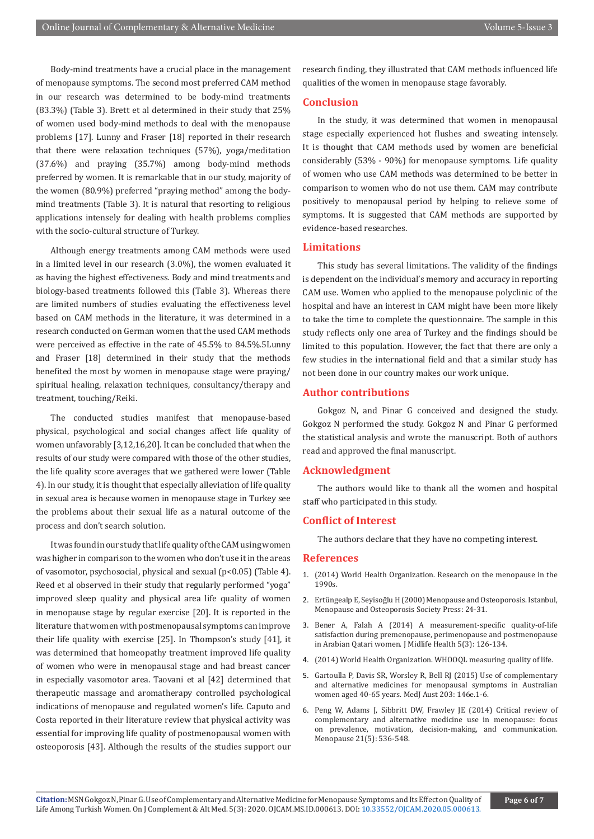Body-mind treatments have a crucial place in the management of menopause symptoms. The second most preferred CAM method in our research was determined to be body-mind treatments (83.3%) (Table 3). Brett et al determined in their study that 25% of women used body-mind methods to deal with the menopause problems [17]. Lunny and Fraser [18] reported in their research that there were relaxation techniques (57%), yoga/meditation (37.6%) and praying (35.7%) among body-mind methods preferred by women. It is remarkable that in our study, majority of the women (80.9%) preferred "praying method" among the bodymind treatments (Table 3). It is natural that resorting to religious applications intensely for dealing with health problems complies with the socio-cultural structure of Turkey.

Although energy treatments among CAM methods were used in a limited level in our research (3.0%), the women evaluated it as having the highest effectiveness. Body and mind treatments and biology-based treatments followed this (Table 3). Whereas there are limited numbers of studies evaluating the effectiveness level based on CAM methods in the literature, it was determined in a research conducted on German women that the used CAM methods were perceived as effective in the rate of 45.5% to 84.5%.5Lunny and Fraser [18] determined in their study that the methods benefited the most by women in menopause stage were praying/ spiritual healing, relaxation techniques, consultancy/therapy and treatment, touching/Reiki.

The conducted studies manifest that menopause-based physical, psychological and social changes affect life quality of women unfavorably [3,12,16,20]. It can be concluded that when the results of our study were compared with those of the other studies, the life quality score averages that we gathered were lower (Table 4). In our study, it is thought that especially alleviation of life quality in sexual area is because women in menopause stage in Turkey see the problems about their sexual life as a natural outcome of the process and don't search solution.

It was found in our study that life quality of the CAM using women was higher in comparison to the women who don't use it in the areas of vasomotor, psychosocial, physical and sexual (p<0.05) (Table 4). Reed et al observed in their study that regularly performed "yoga" improved sleep quality and physical area life quality of women in menopause stage by regular exercise [20]. It is reported in the literature that women with postmenopausal symptoms can improve their life quality with exercise [25]. In Thompson's study [41], it was determined that homeopathy treatment improved life quality of women who were in menopausal stage and had breast cancer in especially vasomotor area. Taovani et al [42] determined that therapeutic massage and aromatherapy controlled psychological indications of menopause and regulated women's life. Caputo and Costa reported in their literature review that physical activity was essential for improving life quality of postmenopausal women with osteoporosis [43]. Although the results of the studies support our

research finding, they illustrated that CAM methods influenced life qualities of the women in menopause stage favorably.

## **Conclusion**

In the study, it was determined that women in menopausal stage especially experienced hot flushes and sweating intensely. It is thought that CAM methods used by women are beneficial considerably (53% - 90%) for menopause symptoms. Life quality of women who use CAM methods was determined to be better in comparison to women who do not use them. CAM may contribute positively to menopausal period by helping to relieve some of symptoms. It is suggested that CAM methods are supported by evidence-based researches.

### **Limitations**

This study has several limitations. The validity of the findings is dependent on the individual's memory and accuracy in reporting CAM use. Women who applied to the menopause polyclinic of the hospital and have an interest in CAM might have been more likely to take the time to complete the questionnaire. The sample in this study reflects only one area of Turkey and the findings should be limited to this population. However, the fact that there are only a few studies in the international field and that a similar study has not been done in our country makes our work unique.

#### **Author contributions**

Gokgoz N, and Pinar G conceived and designed the study. Gokgoz N performed the study. Gokgoz N and Pinar G performed the statistical analysis and wrote the manuscript. Both of authors read and approved the final manuscript.

#### **Acknowledgment**

The authors would like to thank all the women and hospital staff who participated in this study.

#### **Conflict of Interest**

The authors declare that they have no competing interest.

#### **References**

- 1. (2014) World Health Organization. Research on the menopause in the 1990s.
- 2. Ertüngealp E, Seyisoğlu H (2000) Menopause and Osteoporosis. Istanbul, Menopause and Osteoporosis Society Press: 24-31.
- 3. [Bener A, Falah A \(2014\) A measurement-specific quality-of-life](https://pubmed.ncbi.nlm.nih.gov/25316998/) [satisfaction during premenopause, perimenopause and postmenopause](https://pubmed.ncbi.nlm.nih.gov/25316998/) [in Arabian Qatari women. J Midlife Health 5\(3\): 126-134.](https://pubmed.ncbi.nlm.nih.gov/25316998/)
- 4. (2014) World Health Organization. WHOOQL measuring quality of life.
- 5. Gartoulla P, Davis SR, Worsley R, Bell RJ (2015) Use of complementary and alternative medicines for menopausal symptoms in Australian women aged 40-65 years. MedJ Aust 203: 146e.1-6.
- 6. [Peng W, Adams J, Sibbritt DW, Frawley JE \(2014\) Critical review of](https://pubmed.ncbi.nlm.nih.gov/24104604/) [complementary and alternative medicine use in menopause: focus](https://pubmed.ncbi.nlm.nih.gov/24104604/) [on prevalence, motivation, decision-making, and communication.](https://pubmed.ncbi.nlm.nih.gov/24104604/) [Menopause 21\(5\): 536-548.](https://pubmed.ncbi.nlm.nih.gov/24104604/)